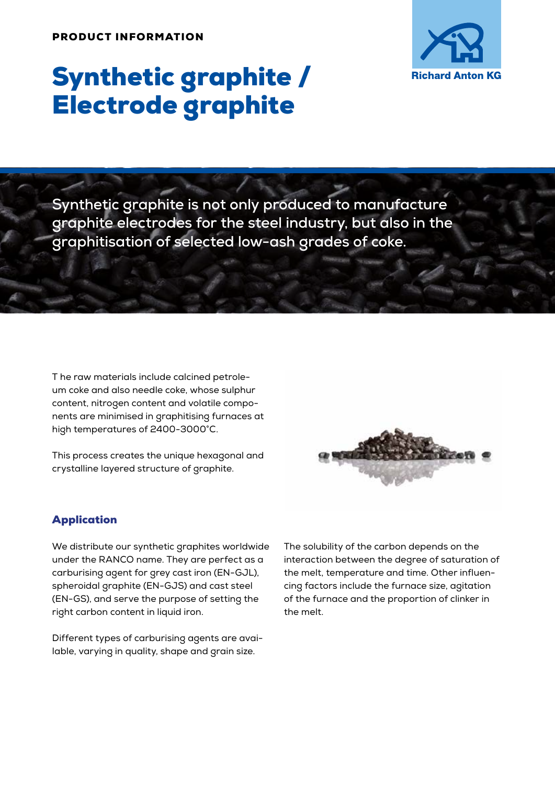

# Synthetic graphite / Electrode graphite

**Synthetic graphite is not only produced to manufacture graphite electrodes for the steel industry, but also in the graphitisation of selected low-ash grades of coke.**

T he raw materials include calcined petroleum coke and also needle coke, whose sulphur content, nitrogen content and volatile components are minimised in graphitising furnaces at high temperatures of 2400-3000°C.

This process creates the unique hexagonal and crystalline layered structure of graphite.



### Application

We distribute our synthetic graphites worldwide under the RANCO name. They are perfect as a carburising agent for grey cast iron (EN-GJL), spheroidal graphite (EN-GJS) and cast steel (EN-GS), and serve the purpose of setting the right carbon content in liquid iron.

Different types of carburising agents are available, varying in quality, shape and grain size.

The solubility of the carbon depends on the interaction between the degree of saturation of the melt, temperature and time. Other influencing factors include the furnace size, agitation of the furnace and the proportion of clinker in the melt.